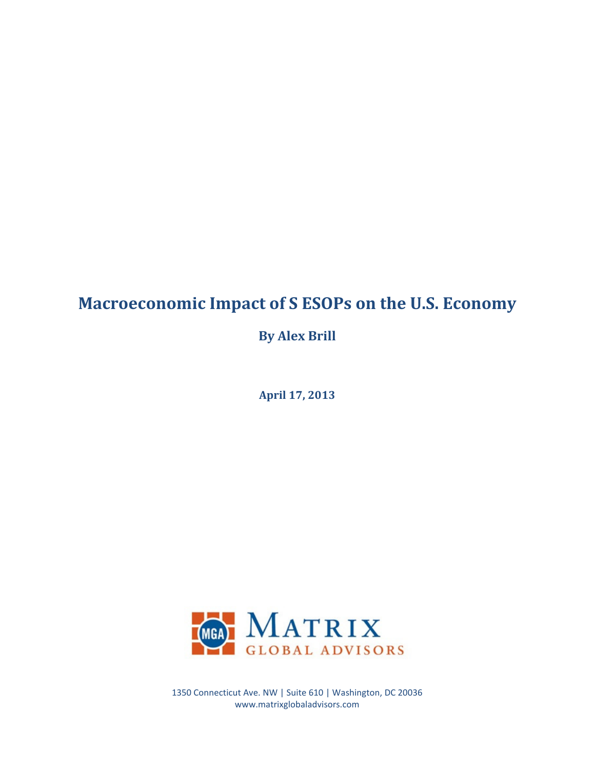# **Macroeconomic Impact of S ESOPs on the U.S. Economy**

**By Alex Brill**

**April 17, 2013**



1350 Connecticut Ave. NW | Suite 610 | Washington, DC 20036 www.matrixglobaladvisors.com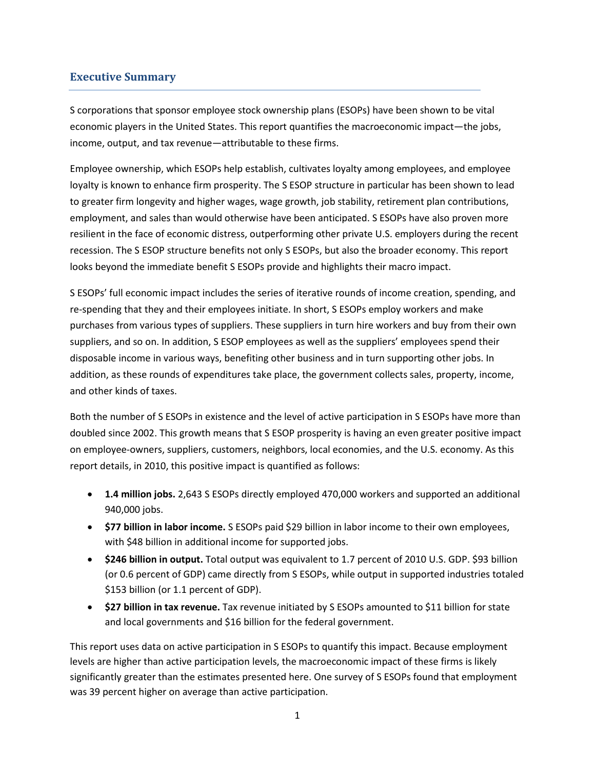# **Executive Summary**

S corporations that sponsor employee stock ownership plans (ESOPs) have been shown to be vital economic players in the United States. This report quantifies the macroeconomic impact—the jobs, income, output, and tax revenue—attributable to these firms.

Employee ownership, which ESOPs help establish, cultivates loyalty among employees, and employee loyalty is known to enhance firm prosperity. The S ESOP structure in particular has been shown to lead to greater firm longevity and higher wages, wage growth, job stability, retirement plan contributions, employment, and sales than would otherwise have been anticipated. S ESOPs have also proven more resilient in the face of economic distress, outperforming other private U.S. employers during the recent recession. The S ESOP structure benefits not only S ESOPs, but also the broader economy. This report looks beyond the immediate benefit S ESOPs provide and highlights their macro impact.

S ESOPs' full economic impact includes the series of iterative rounds of income creation, spending, and re-spending that they and their employees initiate. In short, S ESOPs employ workers and make purchases from various types of suppliers. These suppliers in turn hire workers and buy from their own suppliers, and so on. In addition, S ESOP employees as well as the suppliers' employees spend their disposable income in various ways, benefiting other business and in turn supporting other jobs. In addition, as these rounds of expenditures take place, the government collects sales, property, income, and other kinds of taxes.

Both the number of S ESOPs in existence and the level of active participation in S ESOPs have more than doubled since 2002. This growth means that S ESOP prosperity is having an even greater positive impact on employee-owners, suppliers, customers, neighbors, local economies, and the U.S. economy. As this report details, in 2010, this positive impact is quantified as follows:

- **1.4 million jobs.** 2,643 S ESOPs directly employed 470,000 workers and supported an additional 940,000 jobs.
- **\$77 billion in labor income.** S ESOPs paid \$29 billion in labor income to their own employees, with \$48 billion in additional income for supported jobs.
- **\$246 billion in output.** Total output was equivalent to 1.7 percent of 2010 U.S. GDP. \$93 billion (or 0.6 percent of GDP) came directly from S ESOPs, while output in supported industries totaled \$153 billion (or 1.1 percent of GDP).
- **\$27 billion in tax revenue.** Tax revenue initiated by S ESOPs amounted to \$11 billion for state and local governments and \$16 billion for the federal government.

This report uses data on active participation in S ESOPs to quantify this impact. Because employment levels are higher than active participation levels, the macroeconomic impact of these firms is likely significantly greater than the estimates presented here. One survey of S ESOPs found that employment was 39 percent higher on average than active participation.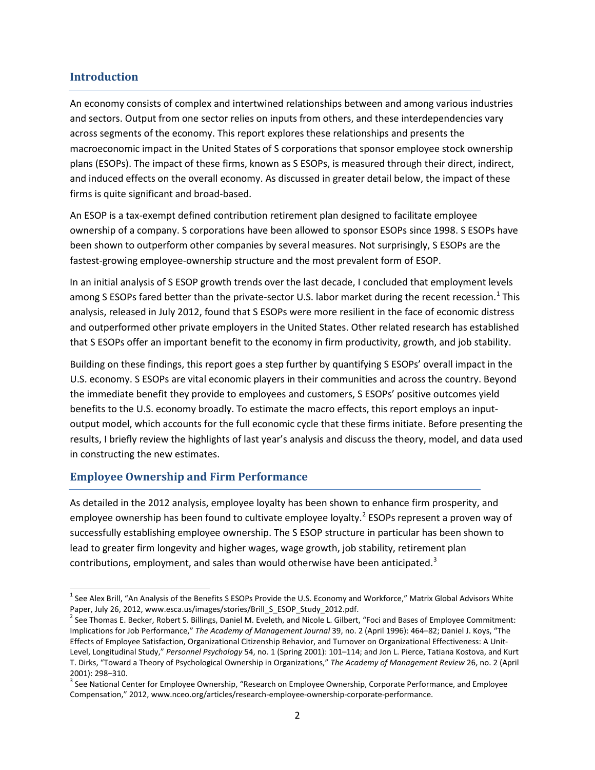# **Introduction**

An economy consists of complex and intertwined relationships between and among various industries and sectors. Output from one sector relies on inputs from others, and these interdependencies vary across segments of the economy. This report explores these relationships and presents the macroeconomic impact in the United States of S corporations that sponsor employee stock ownership plans (ESOPs). The impact of these firms, known as S ESOPs, is measured through their direct, indirect, and induced effects on the overall economy. As discussed in greater detail below, the impact of these firms is quite significant and broad-based.

An ESOP is a tax-exempt defined contribution retirement plan designed to facilitate employee ownership of a company. S corporations have been allowed to sponsor ESOPs since 1998. S ESOPs have been shown to outperform other companies by several measures. Not surprisingly, S ESOPs are the fastest-growing employee-ownership structure and the most prevalent form of ESOP.

In an initial analysis of S ESOP growth trends over the last decade, I concluded that employment levels among S ESOPs fared better than the private-sector U.S. labor market during the recent recession.<sup>[1](#page-2-0)</sup> This analysis, released in July 2012, found that S ESOPs were more resilient in the face of economic distress and outperformed other private employers in the United States. Other related research has established that S ESOPs offer an important benefit to the economy in firm productivity, growth, and job stability.

Building on these findings, this report goes a step further by quantifying S ESOPs' overall impact in the U.S. economy. S ESOPs are vital economic players in their communities and across the country. Beyond the immediate benefit they provide to employees and customers, S ESOPs' positive outcomes yield benefits to the U.S. economy broadly. To estimate the macro effects, this report employs an inputoutput model, which accounts for the full economic cycle that these firms initiate. Before presenting the results, I briefly review the highlights of last year's analysis and discuss the theory, model, and data used in constructing the new estimates.

# **Employee Ownership and Firm Performance**

As detailed in the 2012 analysis, employee loyalty has been shown to enhance firm prosperity, and employee ownership has been found to cultivate employee loyalty.<sup>[2](#page-2-1)</sup> ESOPs represent a proven way of successfully establishing employee ownership. The S ESOP structure in particular has been shown to lead to greater firm longevity and higher wages, wage growth, job stability, retirement plan contributions, employment, and sales than would otherwise have been anticipated.<sup>[3](#page-2-2)</sup>

<span id="page-2-0"></span> $1$  See Alex Brill, "An Analysis of the Benefits S ESOPs Provide the U.S. Economy and Workforce," Matrix Global Advisors White Paper, July 26, 2012, www.esca.us/images/stories/Brill\_S\_ESOP\_Study\_2012.pdf.

<span id="page-2-1"></span><sup>&</sup>lt;sup>2</sup> See Thomas E. Becker, Robert S. Billings, Daniel M. Eveleth, and Nicole L. Gilbert, "Foci and Bases of Employee Commitment: Implications for Job Performance," *The Academy of Management Journal* 39, no. 2 (April 1996): 464–82; Daniel J. Koys, "The Effects of Employee Satisfaction, Organizational Citizenship Behavior, and Turnover on Organizational Effectiveness: A Unit-Level, Longitudinal Study," *Personnel Psychology* 54, no. 1 (Spring 2001): 101–114; and Jon L. Pierce, Tatiana Kostova, and Kurt T. Dirks, "Toward a Theory of Psychological Ownership in Organizations," *The Academy of Management Review* 26, no. 2 (April

<span id="page-2-2"></span><sup>2001): 298–310.&</sup>lt;br><sup>3</sup> See National Center for Employee Ownership, "Research on Employee Ownership, Corporate Performance, and Employee Compensation," 2012, www.nceo.org/articles/research-employee-ownership-corporate-performance.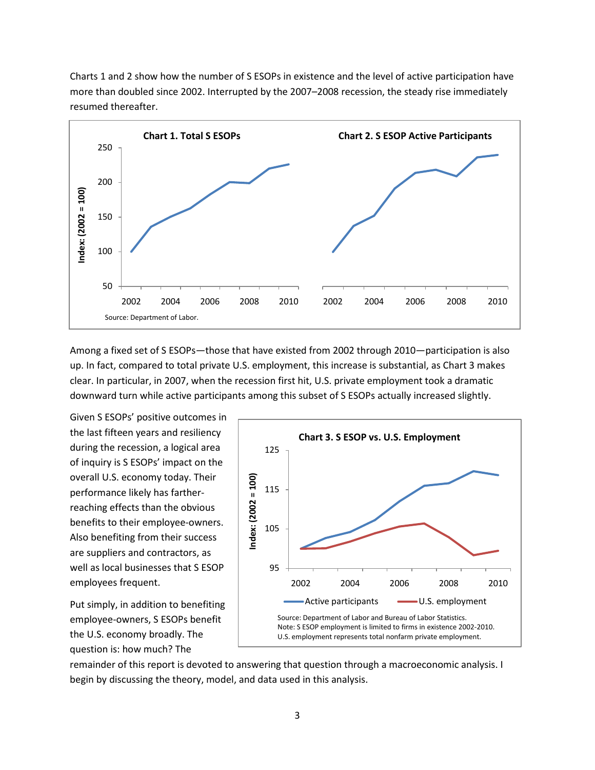Charts 1 and 2 show how the number of S ESOPs in existence and the level of active participation have more than doubled since 2002. Interrupted by the 2007–2008 recession, the steady rise immediately resumed thereafter.



Among a fixed set of S ESOPs—those that have existed from 2002 through 2010—participation is also up. In fact, compared to total private U.S. employment, this increase is substantial, as Chart 3 makes clear. In particular, in 2007, when the recession first hit, U.S. private employment took a dramatic downward turn while active participants among this subset of S ESOPs actually increased slightly.

Given S ESOPs' positive outcomes in the last fifteen years and resiliency during the recession, a logical area of inquiry is S ESOPs' impact on the overall U.S. economy today. Their performance likely has fartherreaching effects than the obvious benefits to their employee-owners. Also benefiting from their success are suppliers and contractors, as well as local businesses that S ESOP employees frequent.

Put simply, in addition to benefiting employee-owners, S ESOPs benefit the U.S. economy broadly. The question is: how much? The



remainder of this report is devoted to answering that question through a macroeconomic analysis. I begin by discussing the theory, model, and data used in this analysis.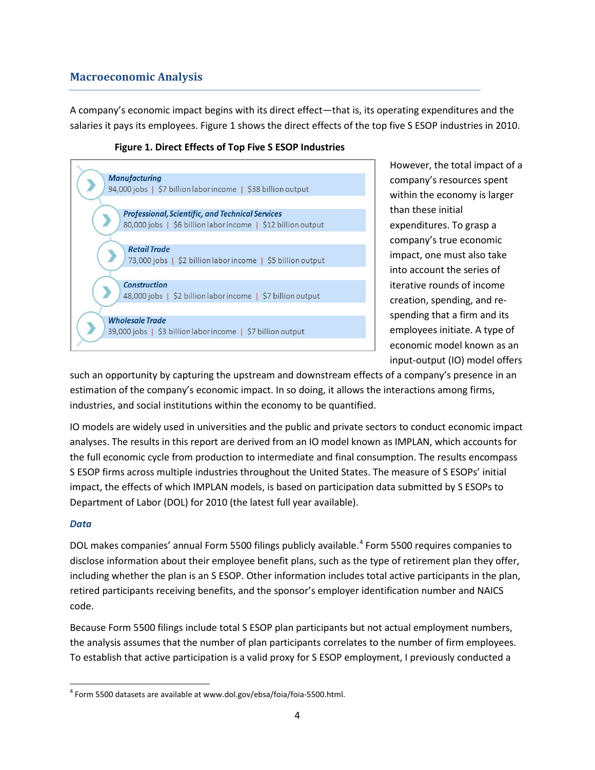# **Macroeconomic Analysis**

A company's economic impact begins with its direct effect—that is, its operating expenditures and the salaries it pays its employees. Figure 1 shows the direct effects of the top five S ESOP industries in 2010.



#### **Figure 1. Direct Effects of Top Five S ESOP Industries**

However, the total impact of a company's resources spent within the economy is larger than these initial expenditures. To grasp a company's true economic impact, one must also take into account the series of iterative rounds of income creation, spending, and respending that a firm and its employees initiate. A type of economic model known as an input-output (IO) model offers

such an opportunity by capturing the upstream and downstream effects of a company's presence in an estimation of the company's economic impact. In so doing, it allows the interactions among firms, industries, and social institutions within the economy to be quantified.

IO models are widely used in universities and the public and private sectors to conduct economic impact analyses. The results in this report are derived from an IO model known as IMPLAN, which accounts for the full economic cycle from production to intermediate and final consumption. The results encompass S ESOP firms across multiple industries throughout the United States. The measure of S ESOPs' initial impact, the effects of which IMPLAN models, is based on participation data submitted by S ESOPs to Department of Labor (DOL) for 2010 (the latest full year available).

#### *Data*

DOL makes companies' annual Form 5500 filings publicly available.<sup>[4](#page-4-0)</sup> Form 5500 requires companies to disclose information about their employee benefit plans, such as the type of retirement plan they offer, including whether the plan is an S ESOP. Other information includes total active participants in the plan, retired participants receiving benefits, and the sponsor's employer identification number and NAICS code.

Because Form 5500 filings include total S ESOP plan participants but not actual employment numbers, the analysis assumes that the number of plan participants correlates to the number of firm employees. To establish that active participation is a valid proxy for S ESOP employment, I previously conducted a

<span id="page-4-0"></span><sup>&</sup>lt;sup>4</sup> Form 5500 datasets are available at www.dol.gov/ebsa/foia/foia-5500.html.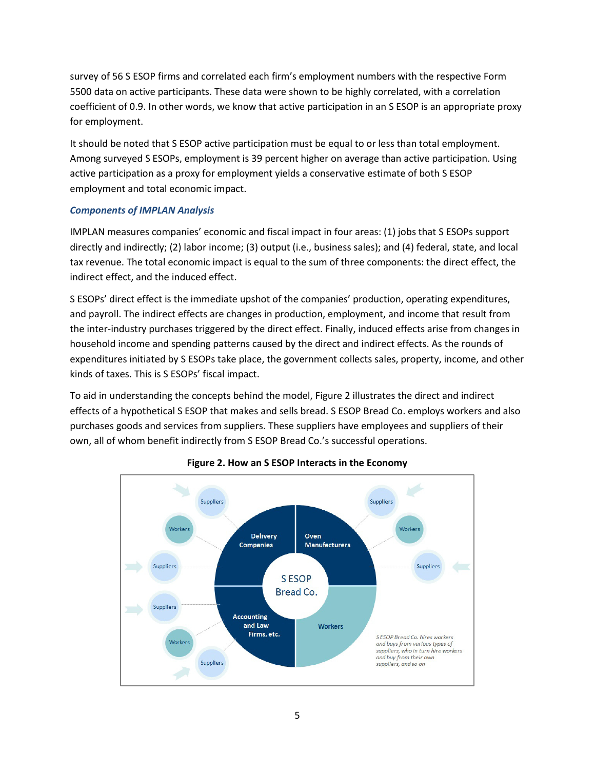survey of 56 S ESOP firms and correlated each firm's employment numbers with the respective Form 5500 data on active participants. These data were shown to be highly correlated, with a correlation coefficient of 0.9. In other words, we know that active participation in an S ESOP is an appropriate proxy for employment.

It should be noted that S ESOP active participation must be equal to or less than total employment. Among surveyed S ESOPs, employment is 39 percent higher on average than active participation. Using active participation as a proxy for employment yields a conservative estimate of both S ESOP employment and total economic impact.

#### *Components of IMPLAN Analysis*

IMPLAN measures companies' economic and fiscal impact in four areas: (1) jobs that S ESOPs support directly and indirectly; (2) labor income; (3) output (i.e., business sales); and (4) federal, state, and local tax revenue. The total economic impact is equal to the sum of three components: the direct effect, the indirect effect, and the induced effect.

S ESOPs' direct effect is the immediate upshot of the companies' production, operating expenditures, and payroll. The indirect effects are changes in production, employment, and income that result from the inter-industry purchases triggered by the direct effect. Finally, induced effects arise from changes in household income and spending patterns caused by the direct and indirect effects. As the rounds of expenditures initiated by S ESOPs take place, the government collects sales, property, income, and other kinds of taxes. This is S ESOPs' fiscal impact.

To aid in understanding the concepts behind the model, Figure 2 illustrates the direct and indirect effects of a hypothetical S ESOP that makes and sells bread. S ESOP Bread Co. employs workers and also purchases goods and services from suppliers. These suppliers have employees and suppliers of their own, all of whom benefit indirectly from S ESOP Bread Co.'s successful operations.



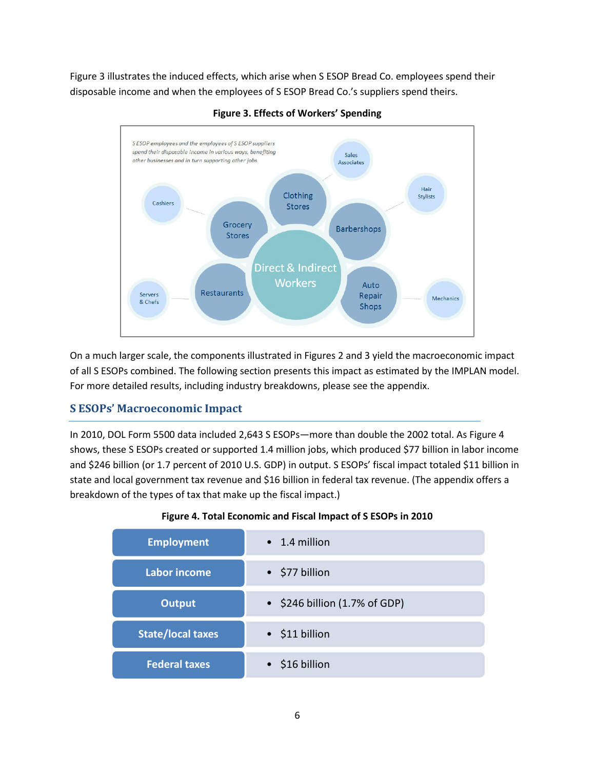Figure 3 illustrates the induced effects, which arise when S ESOP Bread Co. employees spend their disposable income and when the employees of S ESOP Bread Co.'s suppliers spend theirs.



#### **Figure 3. Effects of Workers' Spending**

On a much larger scale, the components illustrated in Figures 2 and 3 yield the macroeconomic impact of all S ESOPs combined. The following section presents this impact as estimated by the IMPLAN model. For more detailed results, including industry breakdowns, please see the appendix.

# **S ESOPs' Macroeconomic Impact**

In 2010, DOL Form 5500 data included 2,643 S ESOPs—more than double the 2002 total. As Figure 4 shows, these S ESOPs created or supported 1.4 million jobs, which produced \$77 billion in labor income and \$246 billion (or 1.7 percent of 2010 U.S. GDP) in output. S ESOPs' fiscal impact totaled \$11 billion in state and local government tax revenue and \$16 billion in federal tax revenue. (The appendix offers a breakdown of the types of tax that make up the fiscal impact.)

#### **Figure 4. Total Economic and Fiscal Impact of S ESOPs in 2010**

| <b>Employment</b>        | $\bullet$ 1.4 million                 |
|--------------------------|---------------------------------------|
| <b>Labor income</b>      | • \$77 billion                        |
| <b>Output</b>            | $\bullet$ \$246 billion (1.7% of GDP) |
| <b>State/local taxes</b> | $\bullet$ \$11 billion                |
| <b>Federal taxes</b>     | \$16 billion                          |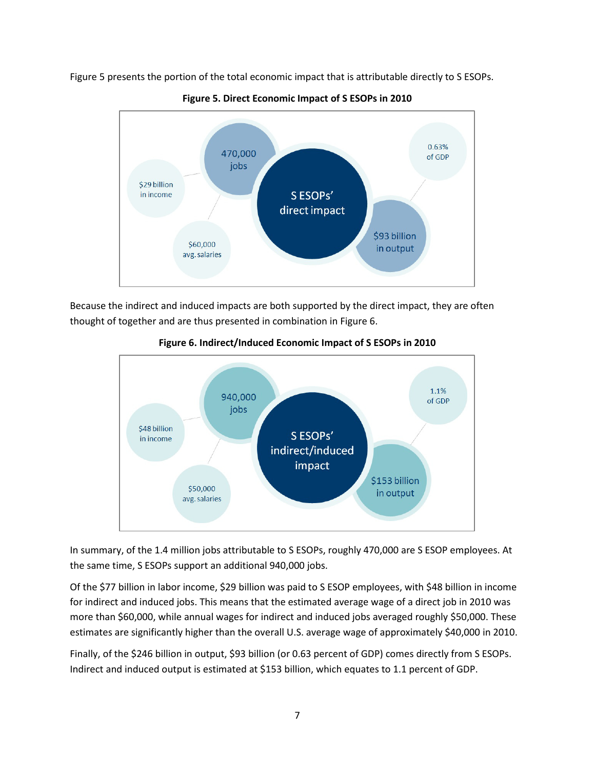Figure 5 presents the portion of the total economic impact that is attributable directly to S ESOPs.



**Figure 5. Direct Economic Impact of S ESOPs in 2010**

Because the indirect and induced impacts are both supported by the direct impact, they are often thought of together and are thus presented in combination in Figure 6.



#### **Figure 6. Indirect/Induced Economic Impact of S ESOPs in 2010**

In summary, of the 1.4 million jobs attributable to S ESOPs, roughly 470,000 are S ESOP employees. At the same time, S ESOPs support an additional 940,000 jobs.

Of the \$77 billion in labor income, \$29 billion was paid to S ESOP employees, with \$48 billion in income for indirect and induced jobs. This means that the estimated average wage of a direct job in 2010 was more than \$60,000, while annual wages for indirect and induced jobs averaged roughly \$50,000. These estimates are significantly higher than the overall U.S. average wage of approximately \$40,000 in 2010.

Finally, of the \$246 billion in output, \$93 billion (or 0.63 percent of GDP) comes directly from S ESOPs. Indirect and induced output is estimated at \$153 billion, which equates to 1.1 percent of GDP.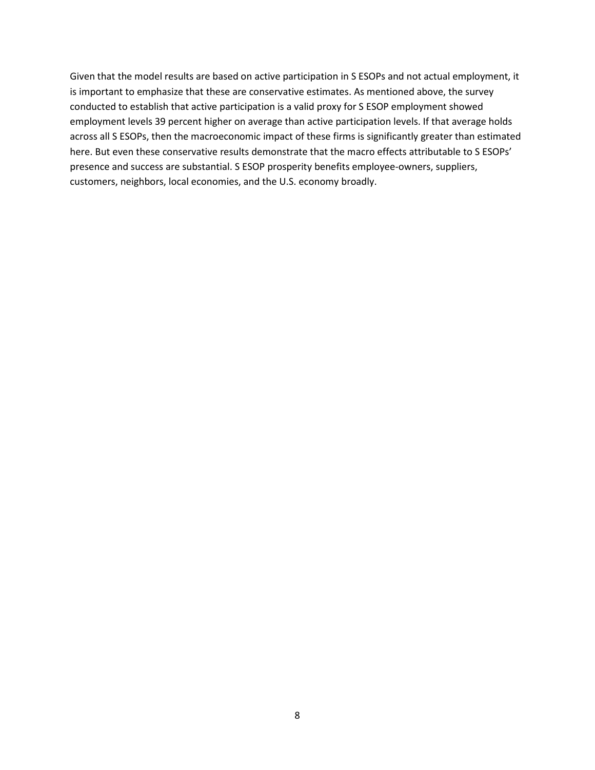Given that the model results are based on active participation in S ESOPs and not actual employment, it is important to emphasize that these are conservative estimates. As mentioned above, the survey conducted to establish that active participation is a valid proxy for S ESOP employment showed employment levels 39 percent higher on average than active participation levels. If that average holds across all S ESOPs, then the macroeconomic impact of these firms is significantly greater than estimated here. But even these conservative results demonstrate that the macro effects attributable to S ESOPs' presence and success are substantial. S ESOP prosperity benefits employee-owners, suppliers, customers, neighbors, local economies, and the U.S. economy broadly.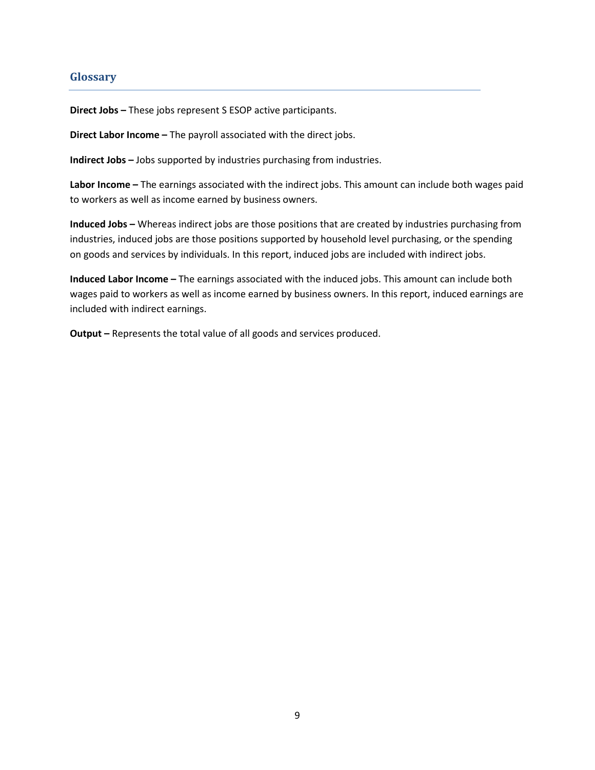## **Glossary**

**Direct Jobs –** These jobs represent S ESOP active participants.

**Direct Labor Income –** The payroll associated with the direct jobs.

**Indirect Jobs –** Jobs supported by industries purchasing from industries.

**Labor Income –** The earnings associated with the indirect jobs. This amount can include both wages paid to workers as well as income earned by business owners.

**Induced Jobs –** Whereas indirect jobs are those positions that are created by industries purchasing from industries, induced jobs are those positions supported by household level purchasing, or the spending on goods and services by individuals. In this report, induced jobs are included with indirect jobs.

**Induced Labor Income –** The earnings associated with the induced jobs. This amount can include both wages paid to workers as well as income earned by business owners. In this report, induced earnings are included with indirect earnings.

**Output –** Represents the total value of all goods and services produced.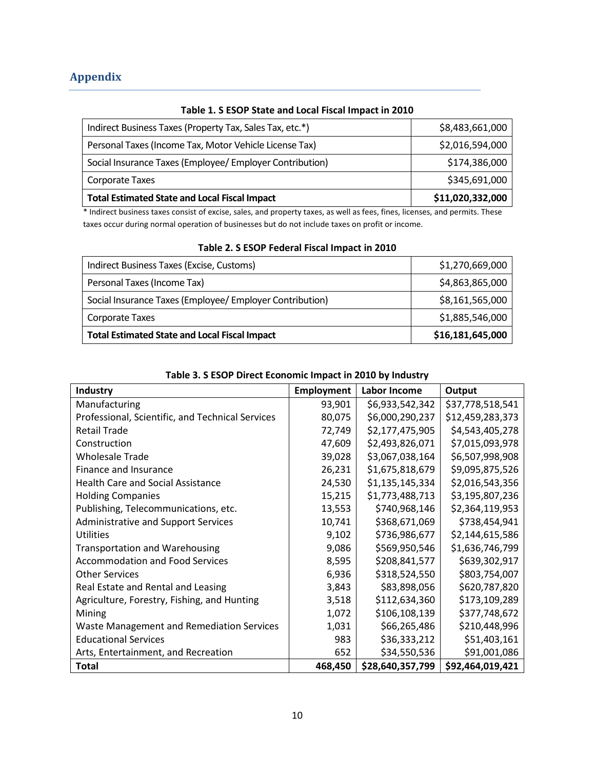# **Appendix**

| . wwie 2. 9 29 9. 91010 0.10 2910.990. pav.  2929        |                  |  |
|----------------------------------------------------------|------------------|--|
| Indirect Business Taxes (Property Tax, Sales Tax, etc.*) | \$8,483,661,000  |  |
| Personal Taxes (Income Tax, Motor Vehicle License Tax)   | \$2,016,594,000  |  |
| Social Insurance Taxes (Employee/ Employer Contribution) | \$174,386,000    |  |
| Corporate Taxes                                          | \$345,691,000    |  |
| <b>Total Estimated State and Local Fiscal Impact</b>     | \$11,020,332,000 |  |

#### **Table 1. S ESOP State and Local Fiscal Impact in 2010**

\* Indirect business taxes consist of excise, sales, and property taxes, as well as fees, fines, licenses, and permits. These taxes occur during normal operation of businesses but do not include taxes on profit or income.

| Indirect Business Taxes (Excise, Customs)                | \$1,270,669,000  |
|----------------------------------------------------------|------------------|
| Personal Taxes (Income Tax)                              | \$4,863,865,000  |
| Social Insurance Taxes (Employee/ Employer Contribution) | \$8,161,565,000  |
| Corporate Taxes                                          | \$1,885,546,000  |
| <b>Total Estimated State and Local Fiscal Impact</b>     | \$16,181,645,000 |

#### **Table 2. S ESOP Federal Fiscal Impact in 2010**

| Table 3. S ESOP Direct Economic impact in 2010 by industry |                   |                     |                  |
|------------------------------------------------------------|-------------------|---------------------|------------------|
| Industry                                                   | <b>Employment</b> | <b>Labor Income</b> | Output           |
| Manufacturing                                              | 93,901            | \$6,933,542,342     | \$37,778,518,541 |
| Professional, Scientific, and Technical Services           | 80,075            | \$6,000,290,237     | \$12,459,283,373 |
| <b>Retail Trade</b>                                        | 72,749            | \$2,177,475,905     | \$4,543,405,278  |
| Construction                                               | 47,609            | \$2,493,826,071     | \$7,015,093,978  |
| <b>Wholesale Trade</b>                                     | 39,028            | \$3,067,038,164     | \$6,507,998,908  |
| Finance and Insurance                                      | 26,231            | \$1,675,818,679     | \$9,095,875,526  |
| <b>Health Care and Social Assistance</b>                   | 24,530            | \$1,135,145,334     | \$2,016,543,356  |
| <b>Holding Companies</b>                                   | 15,215            | \$1,773,488,713     | \$3,195,807,236  |
| Publishing, Telecommunications, etc.                       | 13,553            | \$740,968,146       | \$2,364,119,953  |
| <b>Administrative and Support Services</b>                 | 10,741            | \$368,671,069       | \$738,454,941    |
| <b>Utilities</b>                                           | 9,102             | \$736,986,677       | \$2,144,615,586  |
| <b>Transportation and Warehousing</b>                      | 9,086             | \$569,950,546       | \$1,636,746,799  |
| <b>Accommodation and Food Services</b>                     | 8,595             | \$208,841,577       | \$639,302,917    |
| <b>Other Services</b>                                      | 6,936             | \$318,524,550       | \$803,754,007    |
| Real Estate and Rental and Leasing                         | 3,843             | \$83,898,056        | \$620,787,820    |
| Agriculture, Forestry, Fishing, and Hunting                | 3,518             | \$112,634,360       | \$173,109,289    |
| Mining                                                     | 1,072             | \$106,108,139       | \$377,748,672    |
| <b>Waste Management and Remediation Services</b>           | 1,031             | \$66,265,486        | \$210,448,996    |
| <b>Educational Services</b>                                | 983               | \$36,333,212        | \$51,403,161     |
| Arts, Entertainment, and Recreation                        | 652               | \$34,550,536        | \$91,001,086     |
| <b>Total</b>                                               | 468,450           | \$28,640,357,799    | \$92,464,019,421 |

# **Table 3. S ESOP Direct Economic Impact in 2010 by Industry**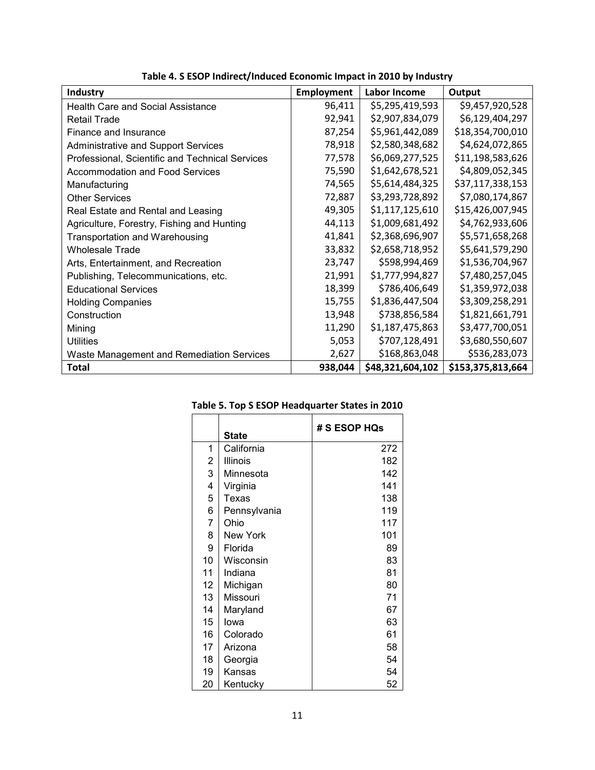| Industry                                         | <b>Employment</b> | <b>Labor Income</b> | Output            |
|--------------------------------------------------|-------------------|---------------------|-------------------|
| <b>Health Care and Social Assistance</b>         | 96,411            | \$5,295,419,593     | \$9,457,920,528   |
| <b>Retail Trade</b>                              | 92,941            | \$2,907,834,079     | \$6,129,404,297   |
| Finance and Insurance                            | 87,254            | \$5,961,442,089     | \$18,354,700,010  |
| Administrative and Support Services              | 78,918            | \$2,580,348,682     | \$4,624,072,865   |
| Professional, Scientific and Technical Services  | 77,578            | \$6,069,277,525     | \$11,198,583,626  |
| <b>Accommodation and Food Services</b>           | 75,590            | \$1,642,678,521     | \$4,809,052,345   |
| Manufacturing                                    | 74,565            | \$5,614,484,325     | \$37,117,338,153  |
| <b>Other Services</b>                            | 72,887            | \$3,293,728,892     | \$7,080,174,867   |
| Real Estate and Rental and Leasing               | 49,305            | \$1,117,125,610     | \$15,426,007,945  |
| Agriculture, Forestry, Fishing and Hunting       | 44,113            | \$1,009,681,492     | \$4,762,933,606   |
| <b>Transportation and Warehousing</b>            | 41,841            | \$2,368,696,907     | \$5,571,658,268   |
| <b>Wholesale Trade</b>                           | 33,832            | \$2,658,718,952     | \$5,641,579,290   |
| Arts, Entertainment, and Recreation              | 23,747            | \$598,994,469       | \$1,536,704,967   |
| Publishing, Telecommunications, etc.             | 21,991            | \$1,777,994,827     | \$7,480,257,045   |
| <b>Educational Services</b>                      | 18,399            | \$786,406,649       | \$1,359,972,038   |
| <b>Holding Companies</b>                         | 15,755            | \$1,836,447,504     | \$3,309,258,291   |
| Construction                                     | 13,948            | \$738,856,584       | \$1,821,661,791   |
| Mining                                           | 11,290            | \$1,187,475,863     | \$3,477,700,051   |
| <b>Utilities</b>                                 | 5,053             | \$707,128,491       | \$3,680,550,607   |
| <b>Waste Management and Remediation Services</b> | 2,627             | \$168,863,048       | \$536,283,073     |
| <b>Total</b>                                     | 938,044           | \$48,321,604,102    | \$153,375,813,664 |

**Table 4. S ESOP Indirect/Induced Economic Impact in 2010 by Industry**

|  |  | Table 5. Top S ESOP Headquarter States in 2010 |  |  |
|--|--|------------------------------------------------|--|--|
|--|--|------------------------------------------------|--|--|

|                | <b>State</b>    | # S ESOP HQs |
|----------------|-----------------|--------------|
| 1              | California      | 272          |
| $\overline{2}$ | Illinois        | 182          |
| 3              | Minnesota       | 142          |
| 4              | Virginia        | 141          |
| 5              | Texas           | 138          |
| 6              | Pennsylvania    | 119          |
| $\overline{7}$ | Ohio            | 117          |
| 8              | <b>New York</b> | 101          |
| 9              | Florida         | 89           |
| 10             | Wisconsin       | 83           |
| 11             | Indiana         | 81           |
| 12             | Michigan        | 80           |
| 13             | Missouri        | 71           |
| 14             | Maryland        | 67           |
| 15             | lowa            | 63           |
| 16             | Colorado        | 61           |
| 17             | Arizona         | 58           |
| 18             | Georgia         | 54           |
| 19             | Kansas          | 54           |
| 20             | Kentucky        | 52           |